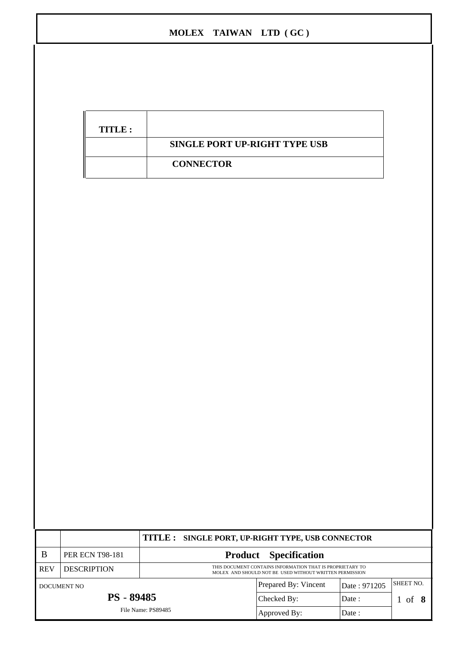| TITLE: |                                      |
|--------|--------------------------------------|
|        | <b>SINGLE PORT UP-RIGHT TYPE USB</b> |
|        | <b>CONNECTOR</b>                     |

|                    |                        | TITLE : SINGLE PORT, UP-RIGHT TYPE, USB CONNECTOR                                                                    |                              |              |                  |
|--------------------|------------------------|----------------------------------------------------------------------------------------------------------------------|------------------------------|--------------|------------------|
| B                  | <b>PER ECN T98-181</b> |                                                                                                                      | <b>Product</b> Specification |              |                  |
| <b>REV</b>         | <b>DESCRIPTION</b>     | THIS DOCUMENT CONTAINS INFORMATION THAT IS PROPRIETARY TO<br>MOLEX AND SHOULD NOT BE USED WITHOUT WRITTEN PERMISSION |                              |              |                  |
| DOCUMENT NO        |                        |                                                                                                                      | Prepared By: Vincent         | Date: 971205 | <b>SHEET NO.</b> |
| <b>PS - 89485</b>  |                        | Checked By:                                                                                                          | Date :                       | of $8$       |                  |
| File Name: PS89485 |                        | Approved By:                                                                                                         | Date:                        |              |                  |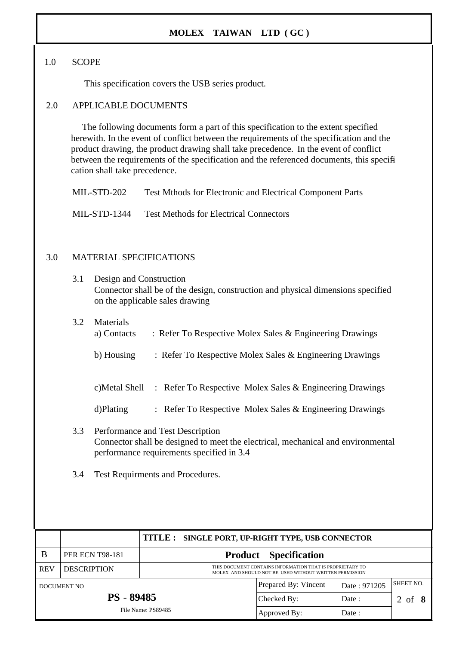#### 1.0 SCOPE

This specification covers the USB series product.

#### 2.0 APPLICABLE DOCUMENTS

The following documents form a part of this specification to the extent specified herewith. In the event of conflict between the requirements of the specification and the product drawing, the product drawing shall take precedence. In the event of conflict between the requirements of the specification and the referenced documents, this specification shall take precedence.

MIL-STD-202 Test Mthods for Electronic and Electrical Component Parts

MIL-STD-1344 Test Methods for Electrical Connectors

#### 3.0 MATERIAL SPECIFICATIONS

3.1 Design and Construction Connector shall be of the design, construction and physical dimensions specified on the applicable sales drawing

| 3.2 | Materials<br>a) Contacts | : Refer To Respective Molex Sales $&$ Engineering Drawings                                                                                                        |
|-----|--------------------------|-------------------------------------------------------------------------------------------------------------------------------------------------------------------|
|     | b) Housing               | : Refer To Respective Molex Sales $&$ Engineering Drawings                                                                                                        |
|     | c)Metal Shell            | : Refer To Respective Molex Sales $&$ Engineering Drawings                                                                                                        |
|     | d)Plating                | : Refer To Respective Molex Sales $&$ Engineering Drawings                                                                                                        |
| 3.3 |                          | Performance and Test Description<br>Connector shall be designed to meet the electrical, mechanical and environmental<br>performance requirements specified in 3.4 |

3.4 Test Requirments and Procedures.

|                    |                        | TITLE : SINGLE PORT, UP-RIGHT TYPE, USB CONNECTOR                                                                    |                              |              |           |
|--------------------|------------------------|----------------------------------------------------------------------------------------------------------------------|------------------------------|--------------|-----------|
| B                  | <b>PER ECN T98-181</b> |                                                                                                                      | <b>Product</b> Specification |              |           |
| <b>REV</b>         | <b>DESCRIPTION</b>     | THIS DOCUMENT CONTAINS INFORMATION THAT IS PROPRIETARY TO<br>MOLEX AND SHOULD NOT BE USED WITHOUT WRITTEN PERMISSION |                              |              |           |
| DOCUMENT NO        |                        |                                                                                                                      | Prepared By: Vincent         | Date: 971205 | SHEET NO. |
| <b>PS - 89485</b>  |                        | Checked By:                                                                                                          | Date :                       | 2 of 8       |           |
| File Name: PS89485 |                        | Approved By:                                                                                                         | Date :                       |              |           |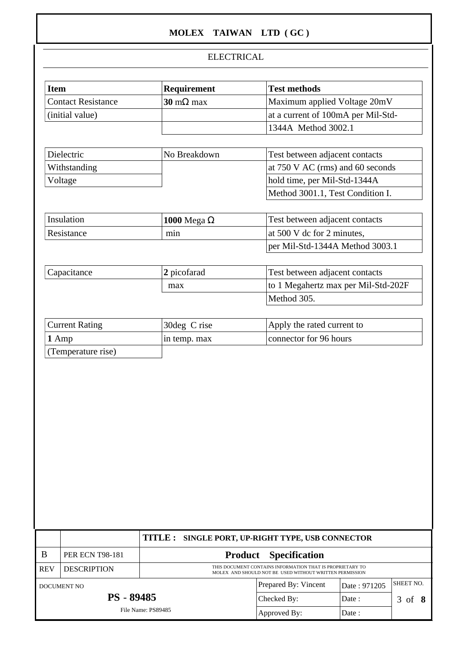### ELECTRICAL

|          | <b>Item</b>               | Requirement              | <b>Test methods</b>                                                                                                  |              |           |
|----------|---------------------------|--------------------------|----------------------------------------------------------------------------------------------------------------------|--------------|-----------|
|          | <b>Contact Resistance</b> | $30 \text{ m}\Omega$ max | Maximum applied Voltage 20mV                                                                                         |              |           |
|          | (initial value)           |                          | at a current of 100mA per Mil-Std-                                                                                   |              |           |
|          |                           |                          | 1344A Method 3002.1                                                                                                  |              |           |
|          |                           |                          |                                                                                                                      |              |           |
|          | Dielectric                | No Breakdown             | Test between adjacent contacts                                                                                       |              |           |
|          | Withstanding              |                          | at 750 V AC (rms) and 60 seconds                                                                                     |              |           |
|          | Voltage                   |                          | hold time, per Mil-Std-1344A                                                                                         |              |           |
|          |                           |                          | Method 3001.1, Test Condition I.                                                                                     |              |           |
|          | Insulation                | 1000 Mega $\Omega$       | Test between adjacent contacts                                                                                       |              |           |
|          | Resistance                | min                      | at 500 V dc for 2 minutes,                                                                                           |              |           |
|          |                           |                          | per Mil-Std-1344A Method 3003.1                                                                                      |              |           |
|          |                           |                          | Test between adjacent contacts                                                                                       |              |           |
|          | Capacitance               | 2 picofarad              |                                                                                                                      |              |           |
|          |                           | max                      | to 1 Megahertz max per Mil-Std-202F<br>Method 305.                                                                   |              |           |
|          |                           |                          |                                                                                                                      |              |           |
|          | <b>Current Rating</b>     | 30deg C rise             | Apply the rated current to                                                                                           |              |           |
|          | 1 Amp                     | in temp. max             | connector for 96 hours                                                                                               |              |           |
|          | (Temperature rise)        |                          |                                                                                                                      |              |           |
|          |                           |                          |                                                                                                                      |              |           |
|          |                           |                          |                                                                                                                      |              |           |
|          |                           | TITLE:                   | SINGLE PORT, UP-RIGHT TYPE, USB CONNECTOR                                                                            |              |           |
|          | <b>PER ECN T98-181</b>    | <b>Product</b>           | <b>Specification</b>                                                                                                 |              |           |
| B<br>REV | <b>DESCRIPTION</b>        |                          | THIS DOCUMENT CONTAINS INFORMATION THAT IS PROPRIETARY TO<br>MOLEX AND SHOULD NOT BE USED WITHOUT WRITTEN PERMISSION |              |           |
|          | DOCUMENT NO               |                          | Prepared By: Vincent                                                                                                 | Date: 971205 | SHEET NO. |
|          | <b>PS</b> - 89485         |                          | Checked By:                                                                                                          | Date:        | 3 of 8    |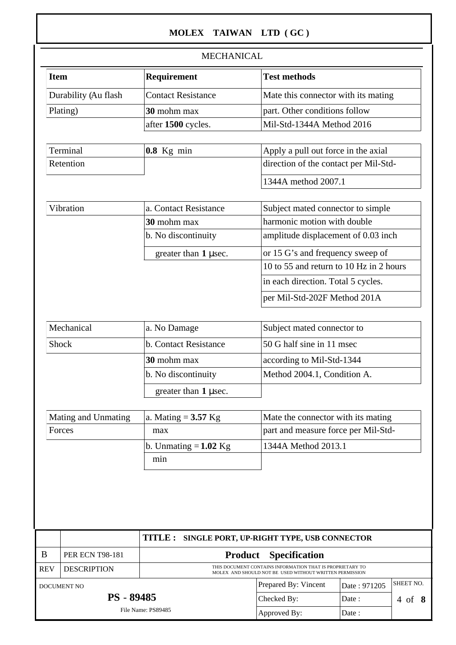|             |                      | <b>MECHANICAL</b>            |                                                                                                                      |              |                   |
|-------------|----------------------|------------------------------|----------------------------------------------------------------------------------------------------------------------|--------------|-------------------|
| <b>Item</b> |                      | Requirement                  | <b>Test methods</b>                                                                                                  |              |                   |
|             | Durability (Au flash | <b>Contact Resistance</b>    | Mate this connector with its mating                                                                                  |              |                   |
|             | Plating)             | 30 mohm max                  | part. Other conditions follow                                                                                        |              |                   |
|             |                      | after 1500 cycles.           | Mil-Std-1344A Method 2016                                                                                            |              |                   |
|             | Terminal             | $0.8$ Kg min                 | Apply a pull out force in the axial                                                                                  |              |                   |
|             | Retention            |                              | direction of the contact per Mil-Std-                                                                                |              |                   |
|             |                      |                              | 1344A method 2007.1                                                                                                  |              |                   |
|             | Vibration            | a. Contact Resistance        | Subject mated connector to simple                                                                                    |              |                   |
|             |                      | 30 mohm max                  | harmonic motion with double                                                                                          |              |                   |
|             |                      | b. No discontinuity          | amplitude displacement of 0.03 inch                                                                                  |              |                   |
|             |                      | greater than 1 µsec.         | or 15 G's and frequency sweep of                                                                                     |              |                   |
|             |                      |                              | 10 to 55 and return to 10 Hz in 2 hours                                                                              |              |                   |
|             |                      |                              | in each direction. Total 5 cycles.                                                                                   |              |                   |
|             |                      |                              | per Mil-Std-202F Method 201A                                                                                         |              |                   |
|             | Mechanical           | a. No Damage                 | Subject mated connector to                                                                                           |              |                   |
|             | Shock                | <b>b. Contact Resistance</b> | 50 G half sine in 11 msec                                                                                            |              |                   |
|             |                      | 30 mohm max                  | according to Mil-Std-1344                                                                                            |              |                   |
|             |                      | b. No discontinuity          | Method 2004.1, Condition A.                                                                                          |              |                   |
|             |                      | greater than $1$ µsec.       |                                                                                                                      |              |                   |
|             | Mating and Unmating  | a. Mating $= 3.57$ Kg        | Mate the connector with its mating                                                                                   |              |                   |
|             | Forces               | max                          | part and measure force per Mil-Std-                                                                                  |              |                   |
|             |                      | b. Unmating $= 1.02$ Kg      | 1344A Method 2013.1                                                                                                  |              |                   |
|             |                      | min                          |                                                                                                                      |              |                   |
|             |                      |                              |                                                                                                                      |              |                   |
|             |                      | <b>TITLE:</b>                | SINGLE PORT, UP-RIGHT TYPE, USB CONNECTOR                                                                            |              |                   |
| B           | PER ECN T98-181      | <b>Product</b>               | Specification                                                                                                        |              |                   |
| <b>REV</b>  | <b>DESCRIPTION</b>   |                              | THIS DOCUMENT CONTAINS INFORMATION THAT IS PROPRIETARY TO<br>MOLEX AND SHOULD NOT BE USED WITHOUT WRITTEN PERMISSION |              |                   |
|             | DOCUMENT NO          |                              | Prepared By: Vincent                                                                                                 | Date: 971205 | SHEET NO.         |
|             | <b>PS</b> - 89485    |                              | Checked By:                                                                                                          | Date :       | $4 \text{ of } 8$ |
|             |                      | File Name: PS89485           | Approved By:                                                                                                         | Date :       |                   |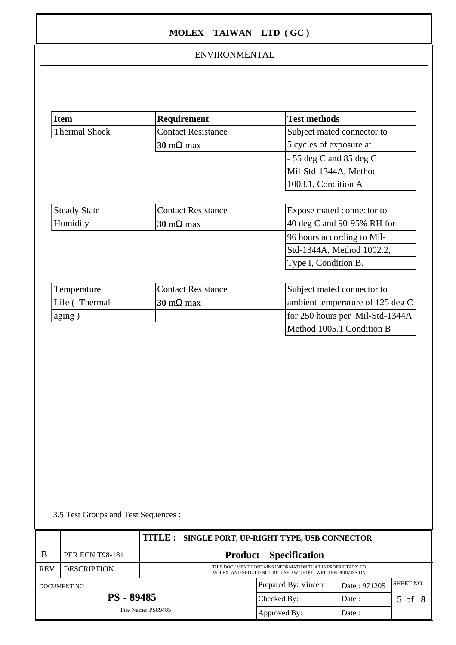#### ENVIRONMENTAL

| <b>Item</b>          | Requirement               | <b>Test methods</b>            |
|----------------------|---------------------------|--------------------------------|
| <b>Thermal Shock</b> | <b>Contact Resistance</b> | Subject mated connector to     |
|                      | 30 m $\Omega$ max         | 5 cycles of exposure at        |
|                      |                           | $\vert$ -55 deg C and 85 deg C |
|                      |                           | Mil-Std-1344A, Method          |
|                      |                           | 1003.1, Condition A            |

| <b>Steady State</b> | Contact Resistance       | Expose mated connector to              |
|---------------------|--------------------------|----------------------------------------|
| Humidity            | <b>30</b> m $\Omega$ max | $ 40 \text{ deg } C$ and 90-95% RH for |
|                     |                          | 96 hours according to Mil-             |
|                     |                          | Std-1344A, Method 1002.2,              |
|                     |                          | Type I, Condition B.                   |

| Temperature   | Contact Resistance       | Subject mated connector to       |
|---------------|--------------------------|----------------------------------|
| Life (Thermal | <b>30</b> m $\Omega$ max | ambient temperature of 125 deg C |
| aging)        |                          | for 250 hours per Mil-Std-1344A  |
|               |                          | Method 1005.1 Condition B        |

3.5 Test Groups and Test Sequences :

|                    |                        | TITLE : SINGLE PORT, UP-RIGHT TYPE, USB CONNECTOR                                                                    |                              |                   |  |
|--------------------|------------------------|----------------------------------------------------------------------------------------------------------------------|------------------------------|-------------------|--|
| B                  | <b>PER ECN T98-181</b> |                                                                                                                      | <b>Product</b> Specification |                   |  |
| <b>REV</b>         | <b>DESCRIPTION</b>     | THIS DOCUMENT CONTAINS INFORMATION THAT IS PROPRIETARY TO<br>MOLEX AND SHOULD NOT BE USED WITHOUT WRITTEN PERMISSION |                              |                   |  |
| DOCUMENT NO        |                        | Prepared By: Vincent                                                                                                 | Date: 971205                 | <b>SHEET NO.</b>  |  |
| <b>PS - 89485</b>  |                        | Checked By:                                                                                                          | Date :                       | $5 \text{ of } 8$ |  |
| File Name: PS89485 |                        | Approved By:                                                                                                         | Date :                       |                   |  |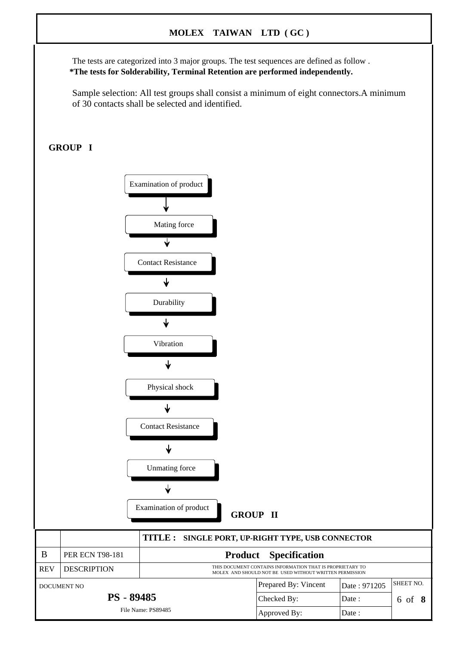The tests are categorized into 3 major groups. The test sequences are defined as follow .  **\*The tests for Solderability, Terminal Retention are performed independently.**

Sample selection: All test groups shall consist a minimum of eight connectors.A minimum of 30 contacts shall be selected and identified.

#### **GROUP I**

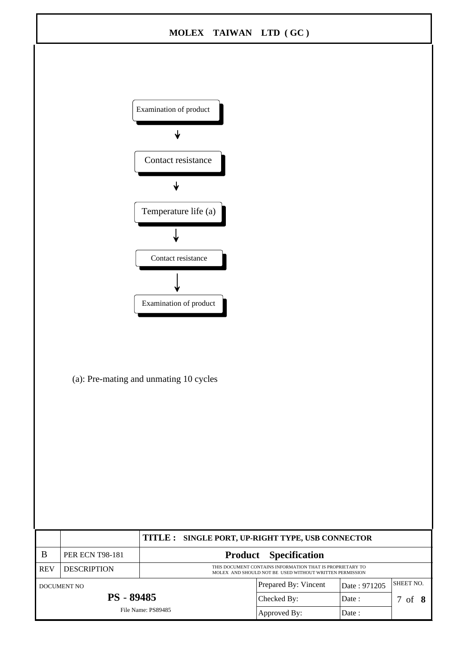

(a): Pre-mating and unmating 10 cycles

|                    |                        | TITLE : SINGLE PORT, UP-RIGHT TYPE, USB CONNECTOR                                                                    |              |                              |              |                  |
|--------------------|------------------------|----------------------------------------------------------------------------------------------------------------------|--------------|------------------------------|--------------|------------------|
| B                  | <b>PER ECN T98-181</b> |                                                                                                                      |              | <b>Product</b> Specification |              |                  |
| <b>REV</b>         | <b>DESCRIPTION</b>     | THIS DOCUMENT CONTAINS INFORMATION THAT IS PROPRIETARY TO<br>MOLEX AND SHOULD NOT BE USED WITHOUT WRITTEN PERMISSION |              |                              |              |                  |
| DOCUMENT NO        |                        |                                                                                                                      |              | Prepared By: Vincent         | Date: 971205 | <b>SHEET NO.</b> |
| <b>PS - 89485</b>  |                        |                                                                                                                      | Checked By:  | Date :                       | 7 of 8       |                  |
| File Name: PS89485 |                        |                                                                                                                      | Approved By: | Date :                       |              |                  |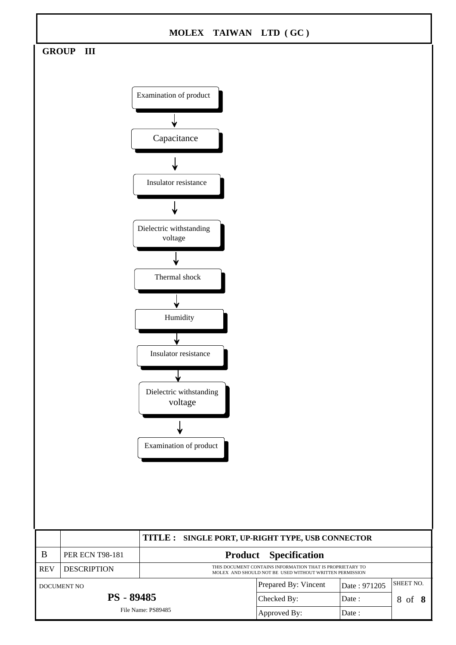

| REV               | <b>DESCRIPTION</b> |                    | THIS DOCUMENT CONTAINS INFORMATION THAT IS PROPRIETARY TO<br>MOLEX AND SHOULD NOT BE USED WITHOUT WRITTEN PERMISSION |              |           |
|-------------------|--------------------|--------------------|----------------------------------------------------------------------------------------------------------------------|--------------|-----------|
|                   | DOCUMENT NO        |                    | <b>Prepared By: Vincent</b>                                                                                          | Date: 971205 | SHEET NO. |
| <b>PS</b> - 89485 |                    | Checked By:        | Date :                                                                                                               | 8 of 8       |           |
|                   |                    | File Name: PS89485 | Approved By:                                                                                                         | Date :       |           |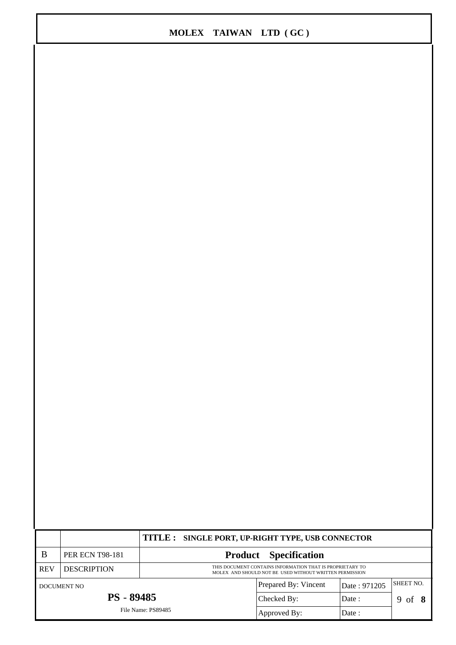|                    |                        | TITLE : SINGLE PORT, UP-RIGHT TYPE, USB CONNECTOR                                                                    |                              |              |                   |  |
|--------------------|------------------------|----------------------------------------------------------------------------------------------------------------------|------------------------------|--------------|-------------------|--|
| B                  | <b>PER ECN T98-181</b> |                                                                                                                      | <b>Product</b> Specification |              |                   |  |
| <b>REV</b>         | <b>DESCRIPTION</b>     | THIS DOCUMENT CONTAINS INFORMATION THAT IS PROPRIETARY TO<br>MOLEX AND SHOULD NOT BE USED WITHOUT WRITTEN PERMISSION |                              |              |                   |  |
| DOCUMENT NO        |                        |                                                                                                                      | Prepared By: Vincent         | Date: 971205 | SHEET NO.         |  |
| <b>PS - 89485</b>  |                        |                                                                                                                      | Checked By:                  | Date :       | $9 \text{ of } 8$ |  |
| File Name: PS89485 |                        | Approved By:                                                                                                         | Date :                       |              |                   |  |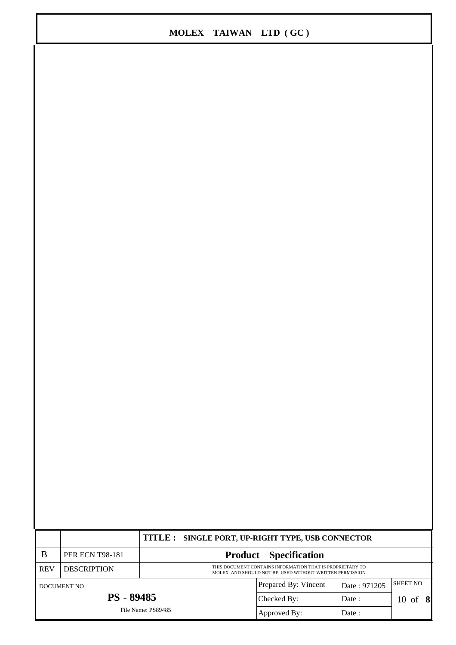|                    |                        | TITLE : SINGLE PORT, UP-RIGHT TYPE, USB CONNECTOR                                                                    |                              |              |             |  |
|--------------------|------------------------|----------------------------------------------------------------------------------------------------------------------|------------------------------|--------------|-------------|--|
| B                  | <b>PER ECN T98-181</b> |                                                                                                                      | <b>Product</b> Specification |              |             |  |
| <b>REV</b>         | <b>DESCRIPTION</b>     | THIS DOCUMENT CONTAINS INFORMATION THAT IS PROPRIETARY TO<br>MOLEX AND SHOULD NOT BE USED WITHOUT WRITTEN PERMISSION |                              |              |             |  |
| DOCUMENT NO        |                        |                                                                                                                      | Prepared By: Vincent         | Date: 971205 | SHEET NO.   |  |
| <b>PS</b> - 89485  |                        |                                                                                                                      | Checked By:                  | Date :       | $10$ of $8$ |  |
| File Name: PS89485 |                        |                                                                                                                      | Approved By:                 | Date:        |             |  |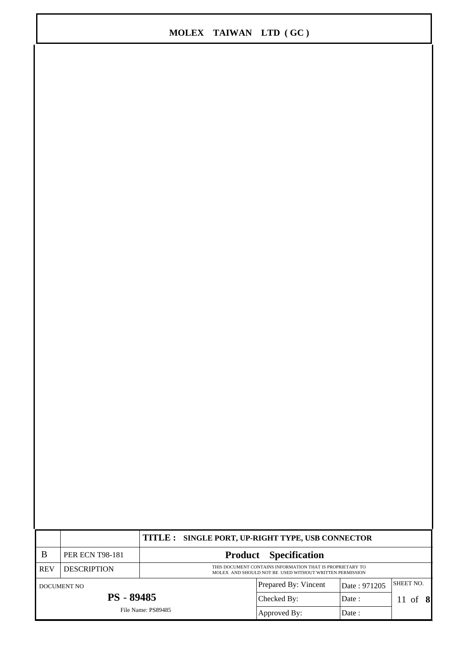|                    |                        | TITLE : SINGLE PORT, UP-RIGHT TYPE, USB CONNECTOR                                                                    |                              |              |           |
|--------------------|------------------------|----------------------------------------------------------------------------------------------------------------------|------------------------------|--------------|-----------|
| B                  | <b>PER ECN T98-181</b> |                                                                                                                      | <b>Product</b> Specification |              |           |
| <b>REV</b>         | <b>DESCRIPTION</b>     | THIS DOCUMENT CONTAINS INFORMATION THAT IS PROPRIETARY TO<br>MOLEX AND SHOULD NOT BE USED WITHOUT WRITTEN PERMISSION |                              |              |           |
| DOCUMENT NO        |                        |                                                                                                                      | Prepared By: Vincent         | Date: 971205 | SHEET NO. |
| <b>PS</b> - 89485  |                        |                                                                                                                      | Checked By:                  | Date :       | 11 of $8$ |
| File Name: PS89485 |                        |                                                                                                                      | Approved By:                 | Date:        |           |